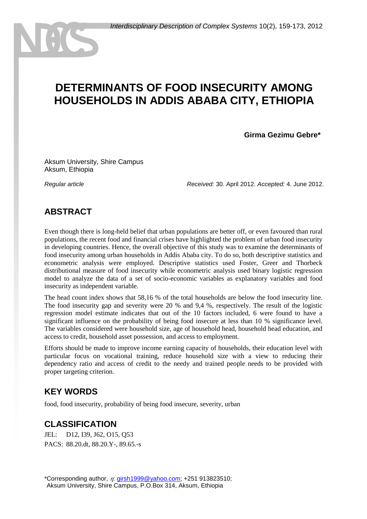# **DETERMINANTS OF FOOD INSECURITY AMONG HOUSEHOLDS IN ADDIS ABABA CITY, ETHIOPIA**

**Girma Gezimu Gebre\***

Aksum University, Shire Campus Aksum, Ethiopia

*Regular article Received:* 30. April 2012. *Accepted:* 4. June 2012.

### **ABSTRACT**

Even though there is long-held belief that urban populations are better off, or even favoured than rural populations, the recent food and financial crises have highlighted the problem of urban food insecurity in developing countries. Hence, the overall objective of this study was to examine the determinants of food insecurity among urban households in Addis Ababa city. To do so, both descriptive statistics and econometric analysis were employed. Descriptive statistics used Foster, Greer and Thorbeck distributional measure of food insecurity while econometric analysis used binary logistic regression model to analyze the data of a set of socio-economic variables as explanatory variables and food insecurity as independent variable.

The head count index shows that 58,16 % of the total households are below the food insecurity line. The food insecurity gap and severity were 20 % and 9,4 %, respectively. The result of the logistic regression model estimate indicates that out of the 10 factors included, 6 were found to have a significant influence on the probability of being food insecure at less than 10 % significance level. The variables considered were household size, age of household head, household head education, and access to credit, household asset possession, and access to employment.

Efforts should be made to improve income earning capacity of households, their education level with particular focus on vocational training, reduce household size with a view to reducing their dependency ratio and access of credit to the needy and trained people needs to be provided with proper targeting criterion.

### **KEY WORDS**

food, food insecurity, probability of being food insecure, severity, urban

### **CLASSIFICATION**

JEL: D12, I39, J62, O15, Q53 PACS: 88.20.dt, 88.20.Y-, 89.65.-s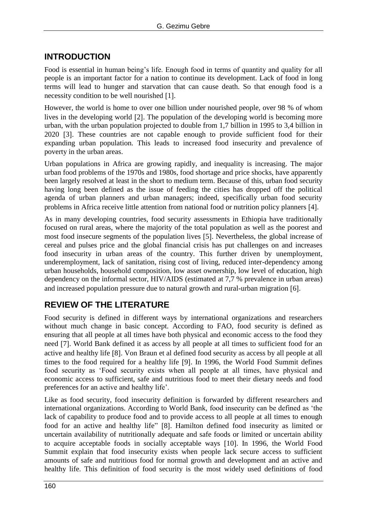### **INTRODUCTION**

Food is essential in human being's life. Enough food in terms of quantity and quality for all people is an important factor for a nation to continue its development. Lack of food in long terms will lead to hunger and starvation that can cause death. So that enough food is a necessity condition to be well nourished [1].

However, the world is home to over one billion under nourished people, over 98 % of whom lives in the developing world [2]. The population of the developing world is becoming more urban, with the urban population projected to double from 1,7 billion in 1995 to 3,4 billion in 2020 [3]. These countries are not capable enough to provide sufficient food for their expanding urban population. This leads to increased food insecurity and prevalence of poverty in the urban areas.

Urban populations in Africa are growing rapidly, and inequality is increasing. The major urban food problems of the 1970s and 1980s, food shortage and price shocks, have apparently been largely resolved at least in the short to medium term. Because of this, urban food security having long been defined as the issue of feeding the cities has dropped off the political agenda of urban planners and urban managers; indeed, specifically urban food security problems in Africa receive little attention from national food or nutrition policy planners [4].

As in many developing countries, food security assessments in Ethiopia have traditionally focused on rural areas, where the majority of the total population as well as the poorest and most food insecure segments of the population lives [5]. Nevertheless, the global increase of cereal and pulses price and the global financial crisis has put challenges on and increases food insecurity in urban areas of the country. This further driven by unemployment, underemployment, lack of sanitation, rising cost of living, reduced inter-dependency among urban households, household composition, low asset ownership, low level of education, high dependency on the informal sector, HIV/AIDS (estimated at 7,7 % prevalence in urban areas) and increased population pressure due to natural growth and rural-urban migration [6].

## **REVIEW OF THE LITERATURE**

Food security is defined in different ways by international organizations and researchers without much change in basic concept. According to FAO, food security is defined as ensuring that all people at all times have both physical and economic access to the food they need [7]. World Bank defined it as access by all people at all times to sufficient food for an active and healthy life [8]. Von Braun et al defined food security as access by all people at all times to the food required for a healthy life [9]. In 1996, the World Food Summit defines food security as 'Food security exists when all people at all times, have physical and economic access to sufficient, safe and nutritious food to meet their dietary needs and food preferences for an active and healthy life'.

Like as food security, food insecurity definition is forwarded by different researchers and international organizations. According to World Bank, food insecurity can be defined as 'the lack of capability to produce food and to provide access to all people at all times to enough food for an active and healthy life" [8]. Hamilton defined food insecurity as limited or uncertain availability of nutritionally adequate and safe foods or limited or uncertain ability to acquire acceptable foods in socially acceptable ways [10]. In 1996, the World Food Summit explain that food insecurity exists when people lack secure access to sufficient amounts of safe and nutritious food for normal growth and development and an active and healthy life. This definition of food security is the most widely used definitions of food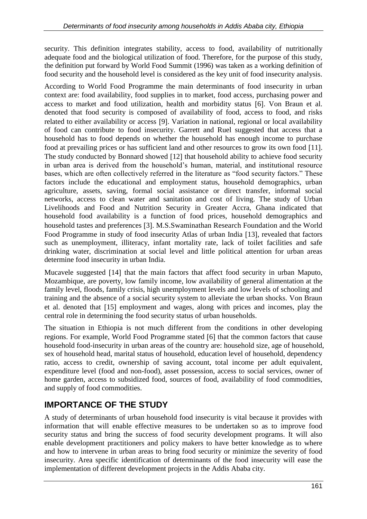security. This definition integrates stability, access to food, availability of nutritionally adequate food and the biological utilization of food. Therefore, for the purpose of this study, the definition put forward by World Food Summit (1996) was taken as a working definition of food security and the household level is considered as the key unit of food insecurity analysis.

According to World Food Programme the main determinants of food insecurity in urban context are: food availability, food supplies in to market, food access, purchasing power and access to market and food utilization, health and morbidity status [6]. Von Braun et al. denoted that food security is composed of availability of food, access to food, and risks related to either availability or access [9]. Variation in national, regional or local availability of food can contribute to food insecurity. Garrett and Ruel suggested that access that a household has to food depends on whether the household has enough income to purchase food at prevailing prices or has sufficient land and other resources to grow its own food [11]. The study conducted by Bonnard showed [12] that household ability to achieve food security in urban area is derived from the household's human, material, and institutional resource bases, which are often collectively referred in the literature as "food security factors." These factors include the educational and employment status, household demographics, urban agriculture, assets, saving, formal social assistance or direct transfer, informal social networks, access to clean water and sanitation and cost of living. The study of Urban Livelihoods and Food and Nutrition Security in Greater Accra, Ghana indicated that household food availability is a function of food prices, household demographics and household tastes and preferences [3]. M.S.Swaminathan Research Foundation and the World Food Programme in study of food insecurity Atlas of urban India [13], revealed that factors such as unemployment, illiteracy, infant mortality rate, lack of toilet facilities and safe drinking water, discrimination at social level and little political attention for urban areas determine food insecurity in urban India.

Mucavele suggested [14] that the main factors that affect food security in urban Maputo, Mozambique, are poverty, low family income, low availability of general alimentation at the family level, floods, family crisis, high unemployment levels and low levels of schooling and training and the absence of a social security system to alleviate the urban shocks. Von Braun et al. denoted that [15] employment and wages, along with prices and incomes, play the central role in determining the food security status of urban households.

The situation in Ethiopia is not much different from the conditions in other developing regions. For example, World Food Programme stated [6] that the common factors that cause household food-insecurity in urban areas of the country are: household size, age of household, sex of household head, marital status of household, education level of household, dependency ratio, access to credit, ownership of saving account, total income per adult equivalent, expenditure level (food and non-food), asset possession, access to social services, owner of home garden, access to subsidized food, sources of food, availability of food commodities, and supply of food commodities.

### **IMPORTANCE OF THE STUDY**

A study of determinants of urban household food insecurity is vital because it provides with information that will enable effective measures to be undertaken so as to improve food security status and bring the success of food security development programs. It will also enable development practitioners and policy makers to have better knowledge as to where and how to intervene in urban areas to bring food security or minimize the severity of food insecurity. Area specific identification of determinants of the food insecurity will ease the implementation of different development projects in the Addis Ababa city.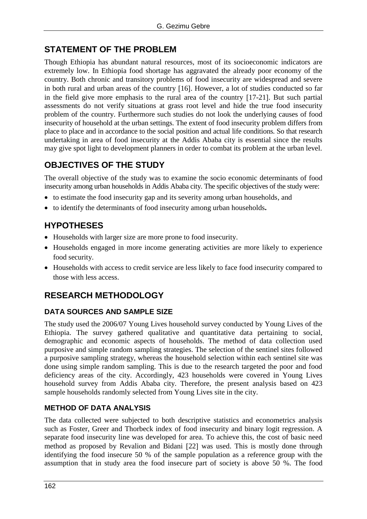### **STATEMENT OF THE PROBLEM**

Though Ethiopia has abundant natural resources, most of its socioeconomic indicators are extremely low. In Ethiopia food shortage has aggravated the already poor economy of the country. Both chronic and transitory problems of food insecurity are widespread and severe in both rural and urban areas of the country [16]. However, a lot of studies conducted so far in the field give more emphasis to the rural area of the country 17-21. But such partial assessments do not verify situations at grass root level and hide the true food insecurity problem of the country. Furthermore such studies do not look the underlying causes of food insecurity of household at the urban settings. The extent of food insecurity problem differs from place to place and in accordance to the social position and actual life conditions. So that research undertaking in area of food insecurity at the Addis Ababa city is essential since the results may give spot light to development planners in order to combat its problem at the urban level.

### **OBJECTIVES OF THE STUDY**

The overall objective of the study was to examine the socio economic determinants of food insecurity among urban households in Addis Ababa city. The specific objectives of the study were:

- to estimate the food insecurity gap and its severity among urban households, and
- to identify the determinants of food insecurity among urban households**.**

### **HYPOTHESES**

- Households with larger size are more prone to food insecurity.
- Households engaged in more income generating activities are more likely to experience food security.
- Households with access to credit service are less likely to face food insecurity compared to those with less access.

## **RESEARCH METHODOLOGY**

#### **DATA SOURCES AND SAMPLE SIZE**

The study used the 2006/07 Young Lives household survey conducted by Young Lives of the Ethiopia. The survey gathered qualitative and quantitative data pertaining to social, demographic and economic aspects of households. The method of data collection used purposive and simple random sampling strategies. The selection of the sentinel sites followed a purposive sampling strategy, whereas the household selection within each sentinel site was done using simple random sampling. This is due to the research targeted the poor and food deficiency areas of the city. Accordingly, 423 households were covered in Young Lives household survey from Addis Ababa city. Therefore, the present analysis based on 423 sample households randomly selected from Young Lives site in the city.

#### **METHOD OF DATA ANALYSIS**

The data collected were subjected to both descriptive statistics and econometrics analysis such as Foster, Greer and Thorbeck index of food insecurity and binary logit regression. A separate food insecurity line was developed for area. To achieve this, the cost of basic need method as proposed by Revalion and Bidani [22] was used. This is mostly done through identifying the food insecure 50 % of the sample population as a reference group with the assumption that in study area the food insecure part of society is above 50 %. The food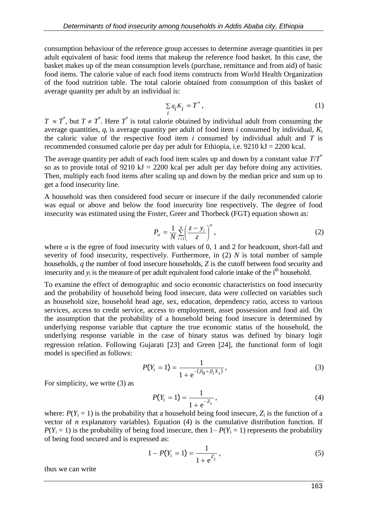consumption behaviour of the reference group accesses to determine average quantities in per adult equivalent of basic food items that makeup the reference food basket. In this case, the basket makes up of the mean consumption levels (purchase, remittance and from aid) of basic food items. The calorie value of each food items constructs from World Health Organization of the food nutrition table. The total calorie obtained from consumption of this basket of average quantity per adult by an individual is:

$$
\sum_{i} q_i K_i = T^*,\tag{1}
$$

 $T \approx T^*$ , but  $T \neq T^*$ . Here  $T^*$  is total calorie obtained by individual adult from consuming the average quantities, *q*<sup>i</sup> is average quantity per adult of food item *i* consumed by individual, *K*<sup>i</sup> the caloric value of the respective food item *i* consumed by individual adult and *T* is recommended consumed calorie per day per adult for Ethiopia, i.e.  $9210 \text{ kJ} = 2200 \text{ kcal}$ .

The average quantity per adult of each food item scales up and down by a constant value *T*/*T* \* so as to provide total of  $9210 \text{ kJ} = 2200 \text{ kcal}$  per adult per day before doing any activities. Then, multiply each food items after scaling up and down by the median price and sum up to get a food insecurity line.

A household was then considered food secure or insecure if the daily recommended calorie was equal or above and below the food insecurity line respectively. The degree of food insecurity was estimated using the Foster, Greer and Thorbeck (FGT) equation shown as:

$$
P_{\alpha} = \frac{1}{N} \sum_{i=1}^{q} \left( \frac{z - y_i}{z} \right)^{\alpha},\tag{2}
$$

where  $\alpha$  is the egree of food insecurity with values of 0, 1 and 2 for headcount, short-fall and severity of food insecurity, respectively. Furthermore, in (2) *N* is total number of sample households, *q* the number of food insecure households, *Z* is the cutoff between food security and insecurity and  $y_i$  is the measure of per adult equivalent food calorie intake of the i<sup>th</sup> household.

To examine the effect of demographic and socio economic characteristics on food insecurity and the probability of household being food insecure, data were collected on variables such as household size, household head age, sex, education, dependency ratio, access to various services, access to credit service, access to employment, asset possession and food aid. On the assumption that the probability of a household being food insecure is determined by underlying response variable that capture the true economic status of the household, the underlying response variable in the case of binary status was defined by binary logit regression relation. Following Gujarati [23] and Green [24], the functional form of logit model is specified as follows:

$$
P(Y_i = 1) = \frac{1}{1 + e^{-(\beta_0 + \beta_i X_i)}},
$$
\n(3)

For simplicity, we write (3) as

$$
P(Y_{i} = 1) = \frac{1}{1 + e^{-Z_{i}}},
$$
\n(4)

where:  $P(Y_i = 1)$  is the probability that a household being food insecure,  $Z_i$  is the function of a vector of *n* explanatory variables). Equation (4) is the cumulative distribution function. If  $P(Y_i = 1)$  is the probability of being food insecure, then  $1 - P(Y_i = 1)$  represents the probability of being food secured and is expressed as:

$$
1 - P(Y_i = 1) = \frac{1}{1 + e^{Z_i}},
$$
\n(5)

thus we can write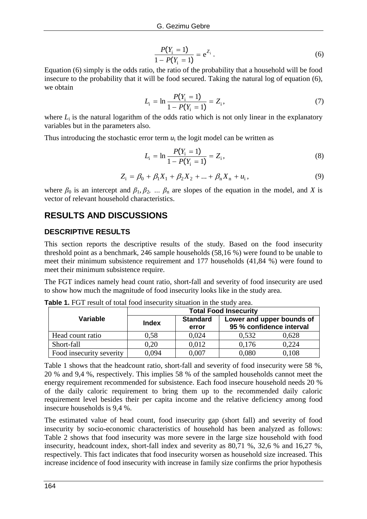$$
\frac{P(Y_i = 1)}{1 - P(Y_i = 1)} = e^{Z_i}.
$$
\n(6)

Equation (6) simply is the odds ratio, the ratio of the probability that a household will be food insecure to the probability that it will be food secured. Taking the natural log of equation (6), we obtain

$$
L_{i} = \ln \frac{P(Y_{i} = 1)}{1 - P(Y_{i} = 1)} = Z_{i},
$$
\n(7)

where  $L_i$  is the natural logarithm of the odds ratio which is not only linear in the explanatory variables but in the parameters also.

Thus introducing the stochastic error term  $u_i$  the logit model can be written as

$$
L_{i} = \ln \frac{P(Y_{i} = 1)}{1 - P(Y_{i} = 1)} = Z_{i},
$$
\n(8)

$$
Z_{i} = \beta_{0} + \beta_{1}X_{1} + \beta_{2}X_{2} + ... + \beta_{n}X_{n} + u_{i}, \qquad (9)
$$

where  $\beta_0$  is an intercept and  $\beta_1, \beta_2, \ldots, \beta_n$  are slopes of the equation in the model, and *X* is vector of relevant household characteristics.

#### **RESULTS AND DISCUSSIONS**

#### **DESCRIPTIVE RESULTS**

This section reports the descriptive results of the study. Based on the food insecurity threshold point as a benchmark, 246 sample households (58,16 %) were found to be unable to meet their minimum subsistence requirement and 177 households (41,84 %) were found to meet their minimum subsistence require.

The FGT indices namely head count ratio, short-fall and severity of food insecurity are used to show how much the magnitude of food insecurity looks like in the study area.

|                          | <b>Total Food Insecurity</b> |                          |                                                       |       |  |
|--------------------------|------------------------------|--------------------------|-------------------------------------------------------|-------|--|
| Variable                 | <b>Index</b>                 | <b>Standard</b><br>error | Lower and upper bounds of<br>95 % confidence interval |       |  |
| Head count ratio         | 0.58                         | 0.024                    | 0,532                                                 | 0.628 |  |
| Short-fall               | 0,20                         | 0.012                    | 0.176                                                 | 0.224 |  |
| Food insecurity severity | 0.094                        | 0.007                    | 0,080                                                 | 0,108 |  |

**Table 1.** FGT result of total food insecurity situation in the study area.

Table 1 shows that the headcount ratio, short-fall and severity of food insecurity were 58 %, 20 % and 9,4 %, respectively. This implies 58 % of the sampled households cannot meet the energy requirement recommended for subsistence. Each food insecure household needs 20 % of the daily caloric requirement to bring them up to the recommended daily caloric requirement level besides their per capita income and the relative deficiency among food insecure households is 9,4 %.

The estimated value of head count, food insecurity gap (short fall) and severity of food insecurity by socio-economic characteristics of household has been analyzed as follows: Table 2 shows that food insecurity was more severe in the large size household with food insecurity, headcount index, short-fall index and severity as 80,71 %, 32,6 % and 16,27 %, respectively. This fact indicates that food insecurity worsen as household size increased. This increase incidence of food insecurity with increase in family size confirms the prior hypothesis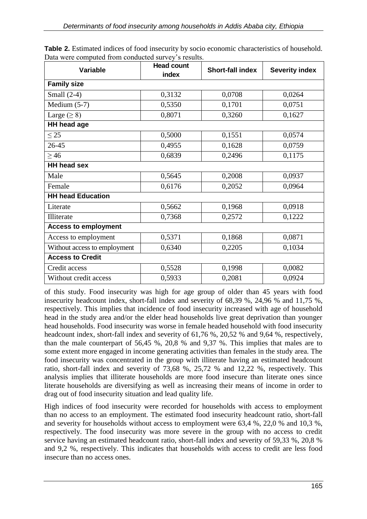| <b>Variable</b>              | <b>Head count</b><br>index | <b>Short-fall index</b> | <b>Severity index</b> |  |  |  |  |
|------------------------------|----------------------------|-------------------------|-----------------------|--|--|--|--|
| <b>Family size</b>           |                            |                         |                       |  |  |  |  |
| Small $(2-4)$                | 0,3132                     | 0,0708                  | 0,0264                |  |  |  |  |
| Medium $(5-7)$               | 0,5350                     | 0,1701                  | 0,0751                |  |  |  |  |
| Large ( $\geq 8$ )           | 0,8071                     | 0,3260                  | 0,1627                |  |  |  |  |
| HH head age                  |                            |                         |                       |  |  |  |  |
| $\leq$ 25                    | 0,5000                     | 0,1551                  | 0,0574                |  |  |  |  |
| 26-45                        | 0,4955                     | 0,1628                  | 0,0759                |  |  |  |  |
| $\geq$ 46                    | 0,6839                     | 0,2496                  | 0,1175                |  |  |  |  |
| <b>HH head sex</b>           |                            |                         |                       |  |  |  |  |
| Male                         | 0,5645                     | 0,2008                  | 0,0937                |  |  |  |  |
| Female                       | 0,6176                     | 0,2052                  | 0,0964                |  |  |  |  |
| <b>HH head Education</b>     |                            |                         |                       |  |  |  |  |
| Literate                     | 0,5662                     | 0,1968                  | 0,0918                |  |  |  |  |
| Illiterate                   | 0,7368                     | 0,2572                  | 0,1222                |  |  |  |  |
| <b>Access to employment</b>  |                            |                         |                       |  |  |  |  |
| Access to employment         | 0,5371                     | 0,1868                  | 0,0871                |  |  |  |  |
| Without access to employment | 0,6340                     | 0,2205                  | 0,1034                |  |  |  |  |
| <b>Access to Credit</b>      |                            |                         |                       |  |  |  |  |
| Credit access                | 0,5528                     | 0,1998                  | 0,0082                |  |  |  |  |
| Without credit access        | 0,5933                     | 0,2081                  | 0,0924                |  |  |  |  |

**Table 2.** Estimated indices of food insecurity by socio economic characteristics of household. Data were computed from conducted survey's results.

of this study. Food insecurity was high for age group of older than 45 years with food insecurity headcount index, short-fall index and severity of 68,39 %, 24,96 % and 11,75 %, respectively. This implies that incidence of food insecurity increased with age of household head in the study area and/or the elder head households live great deprivation than younger head households. Food insecurity was worse in female headed household with food insecurity headcount index, short-fall index and severity of 61,76 %, 20,52 % and 9,64 %, respectively, than the male counterpart of 56,45 %, 20,8 % and 9,37 %. This implies that males are to some extent more engaged in income generating activities than females in the study area. The food insecurity was concentrated in the group with illiterate having an estimated headcount ratio, short-fall index and severity of 73,68 %, 25,72 % and 12,22 %, respectively. This analysis implies that illiterate households are more food insecure than literate ones since literate households are diversifying as well as increasing their means of income in order to drag out of food insecurity situation and lead quality life.

High indices of food insecurity were recorded for households with access to employment than no access to an employment. The estimated food insecurity headcount ratio, short-fall and severity for households without access to employment were 63,4 %, 22,0 % and 10,3 %, respectively. The food insecurity was more severe in the group with no access to credit service having an estimated headcount ratio, short-fall index and severity of 59,33 %, 20,8 % and 9,2 %, respectively. This indicates that households with access to credit are less food insecure than no access ones.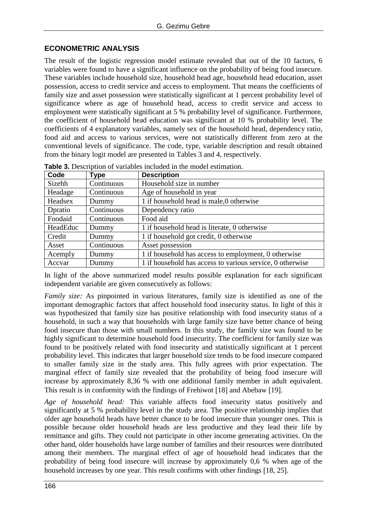#### **ECONOMETRIC ANALYSIS**

The result of the logistic regression model estimate revealed that out of the 10 factors, 6 variables were found to have a significant influence on the probability of being food insecure. These variables include household size, household head age, household head education, asset possession, access to credit service and access to employment. That means the coefficients of family size and asset possession were statistically significant at 1 percent probability level of significance where as age of household head, access to credit service and access to employment were statistically significant at 5 % probability level of significance. Furthermore, the coefficient of household head education was significant at 10 % probability level. The coefficients of 4 explanatory variables, namely sex of the household head, dependency ratio, food aid and access to various services, were not statistically different from zero at the conventional levels of significance. The code, type, variable description and result obtained from the binary logit model are presented in Tables 3 and 4, respectively.

| Code     | Type       | <b>Description</b>                                        |
|----------|------------|-----------------------------------------------------------|
| Sizehh   | Continuous | Household size in number                                  |
| Headage  | Continuous | Age of household in year                                  |
| Headsex  | Dummy      | 1 if household head is male,0 otherwise                   |
| Dpratio  | Continuous | Dependency ratio                                          |
| Foodaid  | Continuous | Food aid                                                  |
| HeadEduc | Dummy      | 1 if household head is literate, 0 otherwise              |
| Credit   | Dummy      | 1 if household got credit, 0 otherwise                    |
| Asset    | Continuous | Asset possession                                          |
| Acemply  | Dummy      | 1 if household has access to employment, 0 otherwise      |
| Accvar   | Dummy      | 1 if household has access to various service, 0 otherwise |

**Table 3.** Description of variables included in the model estimation.

In light of the above summarized model results possible explanation for each significant independent variable are given consecutively as follows:

*Family size:* As pinpointed in various literatures, family size is identified as one of the important demographic factors that affect household food insecurity status. In light of this it was hypothesized that family size has positive relationship with food insecurity status of a household, in such a way that households with large family size have better chance of being food insecure than those with small numbers. In this study, the family size was found to be highly significant to determine household food insecurity. The coefficient for family size was found to be positively related with food insecurity and statistically significant at 1 percent probability level. This indicates that larger household size tends to be food insecure compared to smaller family size in the study area. This fully agrees with prior expectation. The marginal effect of family size revealed that the probability of being food insecure will increase by approximately 8,36 % with one additional family member in adult equivalent. This result is in conformity with the findings of Frehiwot [18] and Abebaw [19].

*Age of household head:* This variable affects food insecurity status positively and significantly at 5 % probability level in the study area. The positive relationship implies that older age household heads have better chance to be food insecure than younger ones. This is possible because older household heads are less productive and they lead their life by remittance and gifts. They could not participate in other income generating activities. On the other hand, older households have large number of families and their resources were distributed among their members. The marginal effect of age of household head indicates that the probability of being food insecure will increase by approximately 0,6 % when age of the household increases by one year. This result confirms with other findings [18, 25].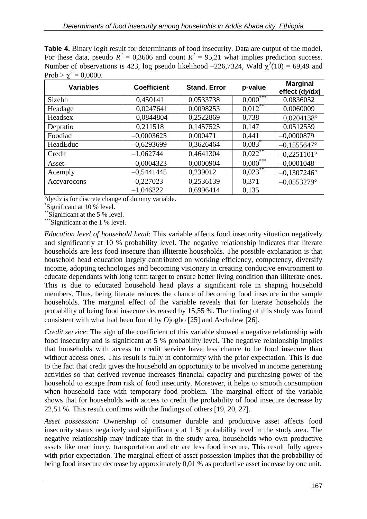**Table 4.** Binary logit result for determinants of food insecurity. Data are output of the model. For these data, pseudo  $R^2 = 0,3606$  and count  $R^2 = 95,21$  what implies prediction success. Number of observations is 423, log pseudo likelihood  $-226,7324$ , Wald  $\chi^2(10) = 69,49$  and Prob >  $\chi^2 = 0,0000$ .

| <b>Variables</b> | <b>Coefficient</b> | <b>Stand, Error</b> | p-value                | <b>Marginal</b><br>effect (dy/dx) |
|------------------|--------------------|---------------------|------------------------|-----------------------------------|
| Sizehh           | 0,450141           | 0,0533738           | $0{,}000^{***}$        | 0,0836052                         |
| Headage          | 0,0247641          | 0,0098253           | $0.012***$             | 0,0060009                         |
| Headsex          | 0,0844804          | 0,2522869           | 0,738                  | 0,0204138°                        |
| Depratio         | 0,211518           | 0,1457525           | 0,147                  | 0,0512559                         |
| Foodiad          | $-0,0003625$       | 0,000471            | 0,441                  | $-0,0000879$                      |
| HeadEduc         | $-0,6293699$       | 0,3626464           | $0,083$ <sup>*</sup>   | $-0,1555647^{\circ}$              |
| Credit           | $-1,062744$        | 0,4641304           | $0,022$ **             | $-0,2251101^{\circ}$              |
| Asset            | $-0,0004323$       | 0,0000904           | $0,000$ <sup>***</sup> | $-0,0001048$                      |
| Acemply          | $-0,5441445$       | 0,239012            | $0,023$ **             | $-0,1307246^{\circ}$              |
| Accyarocons      | $-0,227023$        | 0,2536139           | 0,371                  | $-0.0553279$ °                    |
|                  | $-1,046322$        | 0,6996414           | 0,135                  |                                   |

 $\partial \frac{dy}{dx}$  is for discrete change of dummy variable.

\* Significant at 10 % level.

\*\*Significant at the 5 % level.

Significant at the 1 % level.

*Education level of household head*: This variable affects food insecurity situation negatively and significantly at 10 % probability level. The negative relationship indicates that literate households are less food insecure than illiterate households. The possible explanation is that household head education largely contributed on working efficiency, competency, diversify income, adopting technologies and becoming visionary in creating conducive environment to educate dependants with long term target to ensure better living condition than illiterate ones. This is due to educated household head plays a significant role in shaping household members. Thus, being literate reduces the chance of becoming food insecure in the sample households. The marginal effect of the variable reveals that for literate households the probability of being food insecure decreased by 15,55 %. The finding of this study was found consistent with what had been found by Ojogho [25] and Aschalew [26].

*Credit service*: The sign of the coefficient of this variable showed a negative relationship with food insecurity and is significant at 5 % probability level. The negative relationship implies that households with access to credit service have less chance to be food insecure than without access ones. This result is fully in conformity with the prior expectation. This is due to the fact that credit gives the household an opportunity to be involved in income generating activities so that derived revenue increases financial capacity and purchasing power of the household to escape from risk of food insecurity. Moreover, it helps to smooth consumption when household face with temporary food problem. The marginal effect of the variable shows that for households with access to credit the probability of food insecure decrease by 22,51 %. This result confirms with the findings of others 19, 20, 27.

*Asset possession:* Ownership of consumer durable and productive asset affects food insecurity status negatively and significantly at 1 % probability level in the study area. The negative relationship may indicate that in the study area, households who own productive assets like machinery, transportation and etc are less food insecure. This result fully agrees with prior expectation. The marginal effect of asset possession implies that the probability of being food insecure decrease by approximately 0,01 % as productive asset increase by one unit.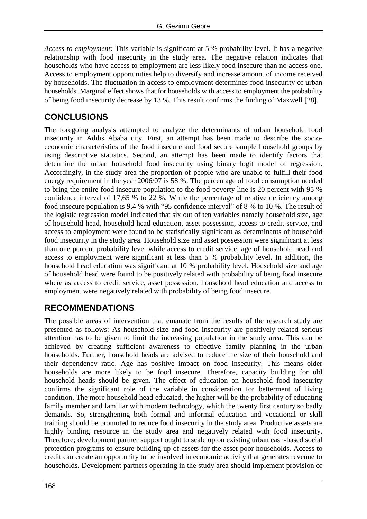*Access to employment:* This variable is significant at 5 % probability level. It has a negative relationship with food insecurity in the study area. The negative relation indicates that households who have access to employment are less likely food insecure than no access one. Access to employment opportunities help to diversify and increase amount of income received by households. The fluctuation in access to employment determines food insecurity of urban households. Marginal effect shows that for households with access to employment the probability of being food insecurity decrease by 13 %. This result confirms the finding of Maxwell [28].

### **CONCLUSIONS**

The foregoing analysis attempted to analyze the determinants of urban household food insecurity in Addis Ababa city. First, an attempt has been made to describe the socioeconomic characteristics of the food insecure and food secure sample household groups by using descriptive statistics. Second, an attempt has been made to identify factors that determine the urban household food insecurity using binary logit model of regression. Accordingly, in the study area the proportion of people who are unable to fulfill their food energy requirement in the year 2006/07 is 58 %. The percentage of food consumption needed to bring the entire food insecure population to the food poverty line is 20 percent with 95 % confidence interval of 17,65 % to 22 %. While the percentage of relative deficiency among food insecure population is 9,4 % with "95 confidence interval" of 8 % to 10 %. The result of the logistic regression model indicated that six out of ten variables namely household size, age of household head, household head education, asset possession, access to credit service, and access to employment were found to be statistically significant as determinants of household food insecurity in the study area. Household size and asset possession were significant at less than one percent probability level while access to credit service, age of household head and access to employment were significant at less than 5 % probability level. In addition, the household head education was significant at 10 % probability level. Household size and age of household head were found to be positively related with probability of being food insecure where as access to credit service, asset possession, household head education and access to employment were negatively related with probability of being food insecure.

### **RECOMMENDATIONS**

The possible areas of intervention that emanate from the results of the research study are presented as follows: As household size and food insecurity are positively related serious attention has to be given to limit the increasing population in the study area. This can be achieved by creating sufficient awareness to effective family planning in the urban households. Further, household heads are advised to reduce the size of their household and their dependency ratio. Age has positive impact on food insecurity. This means older households are more likely to be food insecure. Therefore, capacity building for old household heads should be given. The effect of education on household food insecurity confirms the significant role of the variable in consideration for betterment of living condition. The more household head educated, the higher will be the probability of educating family member and familiar with modern technology, which the twenty first century so badly demands. So, strengthening both formal and informal education and vocational or skill training should be promoted to reduce food insecurity in the study area. Productive assets are highly binding resource in the study area and negatively related with food insecurity. Therefore; development partner support ought to scale up on existing urban cash-based social protection programs to ensure building up of assets for the asset poor households. Access to credit can create an opportunity to be involved in economic activity that generates revenue to households. Development partners operating in the study area should implement provision of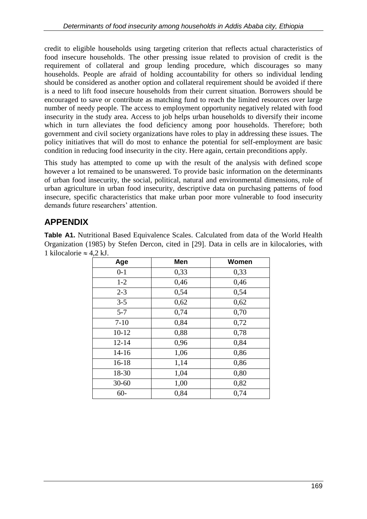credit to eligible households using targeting criterion that reflects actual characteristics of food insecure households. The other pressing issue related to provision of credit is the requirement of collateral and group lending procedure, which discourages so many households. People are afraid of holding accountability for others so individual lending should be considered as another option and collateral requirement should be avoided if there is a need to lift food insecure households from their current situation. Borrowers should be encouraged to save or contribute as matching fund to reach the limited resources over large number of needy people. The access to employment opportunity negatively related with food insecurity in the study area. Access to job helps urban households to diversify their income which in turn alleviates the food deficiency among poor households. Therefore; both government and civil society organizations have roles to play in addressing these issues. The policy initiatives that will do most to enhance the potential for self-employment are basic condition in reducing food insecurity in the city. Here again, certain preconditions apply.

This study has attempted to come up with the result of the analysis with defined scope however a lot remained to be unanswered. To provide basic information on the determinants of urban food insecurity, the social, political, natural and environmental dimensions, role of urban agriculture in urban food insecurity, descriptive data on purchasing patterns of food insecure, specific characteristics that make urban poor more vulnerable to food insecurity demands future researchers' attention.

### **APPENDIX**

**Table A1.** Nutritional Based Equivalence Scales. Calculated from data of the World Health Organization (1985) by Stefen Dercon, cited in [29]. Data in cells are in kilocalories, with 1 kilocalorie  $\approx 4.2$  kJ.

| Age       | Men  | <b>Women</b> |
|-----------|------|--------------|
| $0 - 1$   | 0,33 | 0,33         |
| $1 - 2$   | 0,46 | 0,46         |
| $2 - 3$   | 0,54 | 0,54         |
| $3 - 5$   | 0,62 | 0,62         |
| $5 - 7$   | 0,74 | 0,70         |
| $7 - 10$  | 0,84 | 0,72         |
| $10 - 12$ | 0,88 | 0,78         |
| $12 - 14$ | 0,96 | 0,84         |
| $14 - 16$ | 1,06 | 0,86         |
| $16 - 18$ | 1,14 | 0,86         |
| 18-30     | 1,04 | 0,80         |
| $30 - 60$ | 1,00 | 0,82         |
| $60 -$    | 0,84 | 0,74         |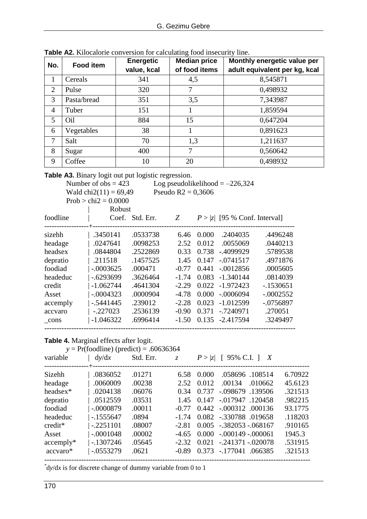| No.            | <b>Food item</b> | <b>Energetic</b><br>value, kcal | <b>Median price</b><br>of food items | Monthly energetic value per<br>adult equivalent per kg, kcal |
|----------------|------------------|---------------------------------|--------------------------------------|--------------------------------------------------------------|
| 1              | Cereals          | 341                             | 4,5                                  | 8,545871                                                     |
| $\overline{2}$ | Pulse            | 320                             |                                      | 0,498932                                                     |
| 3              | Pasta/bread      | 351                             | 3,5                                  | 7,343987                                                     |
| $\overline{4}$ | Tuber            | 151                             |                                      | 1,859594                                                     |
| 5              | Oil              | 884                             | 15                                   | 0,647204                                                     |
| 6              | Vegetables       | 38                              |                                      | 0,891623                                                     |
| 7              | Salt             | 70                              | 1,3                                  | 1,211637                                                     |
| 8              | Sugar            | 400                             | 7                                    | 0,560642                                                     |
| 9              | Coffee           | 10                              | 20                                   | 0,498932                                                     |

**Table A2.** Kilocalorie conversion for calculating food insecurity line.

Table A3. Binary logit out put logistic regression.

| Log pseudolikelihood $=-226,324$<br>Number of $obs = 423$ |              |                 |         |       |                                 |             |  |
|-----------------------------------------------------------|--------------|-----------------|---------|-------|---------------------------------|-------------|--|
| Pseudo $R2 = 0,3606$<br>Wald chi $2(11) = 69,49$          |              |                 |         |       |                                 |             |  |
| $Prob > chi2 = 0.0000$                                    |              |                 |         |       |                                 |             |  |
|                                                           | Robust       |                 |         |       |                                 |             |  |
| foodline                                                  |              | Coef. Std. Err. | Z       |       | $P >  z $ [95 % Conf. Interval] |             |  |
| sizehh                                                    | .3450141     | .0533738        | 6.46    | 0.000 | .2404035                        | .4496248    |  |
| headage                                                   | .0247641     | .0098253        | 2.52    | 0.012 | .0055069                        | .0440213    |  |
| headsex                                                   | .0844804     | .2522869        | 0.33    | 0.738 | $-.4099929$                     | .5789538    |  |
| depratio                                                  | .211518      | .1457525        | 1.45    | 0.147 | $-.0741517$                     | .4971876    |  |
| foodiad                                                   | $-.0003625$  | .000471         | $-0.77$ | 0.441 | $-.0012856$                     | .0005605    |  |
| headeduc                                                  | $-0.6293699$ | .3626464        | $-1.74$ | 0.083 | -1.340144                       | .0814039    |  |
| credit                                                    | $-1.062744$  | .4641304        | $-2.29$ | 0.022 | $-1.972423$                     | $-1530651$  |  |
| Asset                                                     | $-.0004323$  | .0000904        | -4.78   | 0.000 | $-.0006094$                     | $-.0002552$ |  |
| accemply                                                  | $-.5441445$  | .239012         | $-2.28$ | 0.023 | $-1.012599$                     | $-.0756897$ |  |
| accvaro                                                   | $-.227023$   | .2536139        | $-0.90$ | 0.371 | -.7240971                       | .270051     |  |
| cons                                                      | $-1.046322$  | .6996414        | $-1.50$ | 0.135 | -2.417594                       | .3249497    |  |

#### **Table 4.** Marginal effects after logit.

 $y = Pr(foodline) (predict) = .60636364$ 

| variable                | dy/dx                                       | Std. Err. | $\zeta$ | P >  z | $[95\% \text{ C.I.}]$<br>X    |         |
|-------------------------|---------------------------------------------|-----------|---------|--------|-------------------------------|---------|
| -------------<br>Sizehh | -+-----------------------------<br>.0836052 | .01271    | 6.58    | 0.000  | .058696.108514                | 6.70922 |
| headage                 | .0060009                                    | .00238    | 2.52    | 0.012  | .00134<br>.010662             | 45.6123 |
| headsex*                | .0204138                                    | .06076    | 0.34    |        | 0.737 -.098679 .139506        | .321513 |
| depratio                | .0512559                                    | .03531    |         |        | 1.45 0.147 -.017947 .120458   | .982215 |
| foodiad                 | $-.0000879$                                 | .00011    | $-0.77$ |        | 0.442 -.000312 .000136        | 93.1775 |
| headeduc                | $-1555647$                                  | .0894     | $-1.74$ |        | 0.082 -.330788 .019658        | .118203 |
| $credit*$               | $-.2251101$                                 | .08007    | $-2.81$ |        | $0.005 - 0.382053 - 0.068167$ | .910165 |
| Asset                   | $-.0001048$                                 | .00002    | $-4.65$ |        | $0.000 - 0.00149 - 0.00061$   | 1945.3  |
| $acceptly*$             | $-1307246$                                  | .05645    | $-2.32$ |        | $0.021 - 0.241371 - 0.020078$ | .531915 |
| accvaro*                | $-0.0553279$                                | .0621     | $-0.89$ |        | 0.373 - 177041 .066385        | .321513 |

\* d*y*/d*x* is for discrete change of dummy variable from 0 to 1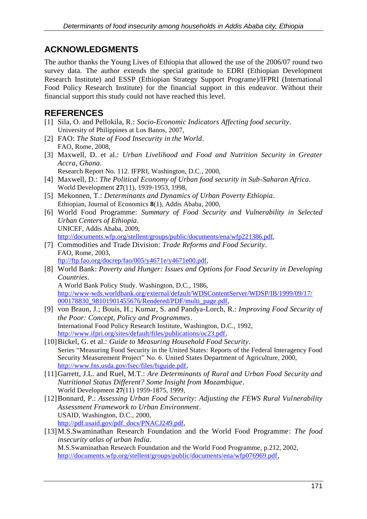### **ACKNOWLEDGMENTS**

The author thanks the Young Lives of Ethiopia that allowed the use of the 2006/07 round two survey data. The author extends the special gratitude to EDRI (Ethiopian Development Research Institute) and ESSP (Ethiopian Strategy Support Programe)/IFPRI (International Food Policy Research Institute) for the financial support in this endeavor. Without their financial support this study could not have reached this level.

### **REFERENCES**

- [1] Sila, O. and Pellokila, R.: *Socio-Economic Indicators Affecting food security*. University of Philippines at Los Banos, 2007,
- [2] FAO: *The State of Food Insecurity in the World*. FAO, Rome, 2008,
- [3] Maxwell, D. et al.: *Urban Livelihood and Food and Nutrition Security in Greater Accra, Ghana*.
	- Research Report No. 112. IFPRI, Washington, D.C., 2000,
- [4] Maxwell, D.: *The Political Economy of Urban food security in Sub-Saharan Africa*. World Development **27**(11), 1939-1953, 1998,
- [5] Mekonnen, T.: *Determinants and Dynamics of Urban Poverty Ethiopia*. Ethiopian, Journal of Economics **8**(1), Addis Ababa, 2000,
- [6] World Food Programme: *Summary of Food Security and Vulnerability in Selected Urban Centers of Ethiopia*. UNICEF, Addis Ababa, 2009, [http://documents.wfp.org/stellent/groups/public/documents/ena/wfp221386.pdf,](http://documents.wfp.org/stellent/groups/public/documents/ena/wfp221386.pdf)
- [7] Commodities and Trade Division: *Trade Reforms and Food Security*. FAO, Rome, 2003, [ftp://ftp.fao.org/docrep/fao/005/y4671e/y4671e00.pdf,](ftp://ftp.fao.org/docrep/fao/005/y4671e/y4671e00.pdf)
- [8] World Bank: *Poverty and Hunger: Issues and Options for Food Security in Developing Countries*. A World Bank Policy Study. Washington, D.C., 1986, [http://www-wds.worldbank.org/external/default/WDSContentServer/WDSP/IB/1999/09/17/](http://www-wds.worldbank.org/external/default/WDSContentServer/WDSP/IB/1999/09/17/%20000178830_98101901455676/Rendered/PDF/multi_page.pdf) [000178830\\_98101901455676/Rendered/PDF/multi\\_page.pdf,](http://www-wds.worldbank.org/external/default/WDSContentServer/WDSP/IB/1999/09/17/%20000178830_98101901455676/Rendered/PDF/multi_page.pdf)
- [9] von Braun, J.; Bouis, H.; Kumar, S. and Pandya-Lorch, R.: *Improving Food Security of the Poor: Concept, Policy and Programmes*. International Food Policy Research Institute, Washington, D.C., 1992, [http://www.ifpri.org/sites/default/files/publications/oc23.pdf,](http://www.ifpri.org/sites/default/files/publications/oc23.pdf)
- [10]Bickel, G. et al.: *Guide to Measuring Household Food Security*. Series "Measuring Food Security in the United States: Reports of the Federal Interagency Food Security Measurement Project" No. 6. United States Department of Agriculture, 2000, [http://www.fns.usda.gov/fsec/files/fsguide.pdf,](http://www.fns.usda.gov/fsec/files/fsguide.pdf)
- [11]Garrett, J.L. and Ruel, M.T.: *Are Determinants of Rural and Urban Food Security and Nutritional Status Different? Some Insight from Mozambique*. World Development **27**(11) 1959-1875, 1999,
- [12]Bonnard, P.: *Assessing Urban Food Security: Adjusting the FEWS Rural Vulnerability Assessment Framework to Urban Environment*. USAID, Washington, D.C., 2000, [http://pdf.usaid.gov/pdf\\_docs/PNACJ249.pdf,](http://pdf.usaid.gov/pdf_docs/PNACJ249.pdf)
- [13]M.S.Swaminathan Research Foundation and the World Food Programme: *The food insecurity atlas of urban India*. M.S.Swaminathan Research Foundation and the World Food Programme, p.212, 2002, [http://documents.wfp.org/stellent/groups/public/documents/ena/wfp076969.pdf,](http://documents.wfp.org/stellent/groups/public/documents/ena/wfp076969.pdf)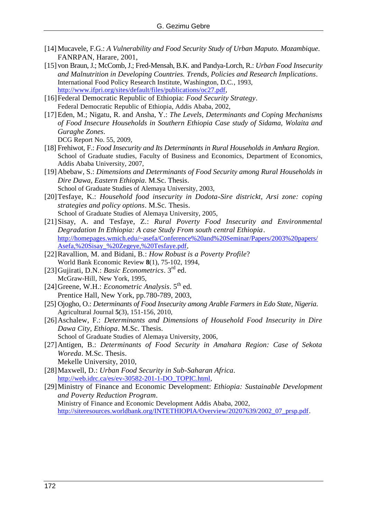- [14] Mucavele, F.G.: *A Vulnerability and Food Security Study of Urban Maputo. Mozambique*. FANRPAN, Harare, 2001,
- [15] von Braun, J.; McComb,J.; Fred-Mensah, B.K. and Pandya-Lorch, R.: *Urban Food Insecurity and Malnutrition in Developing Countries. Trends, Policies and Research Implications*. International Food Policy Research Institute, Washington, D.C., 1993, [http://www.ifpri.org/sites/default/files/publications/oc27.pdf,](http://www.ifpri.org/sites/default/files/publications/oc27.pdf)
- [16]Federal Democratic Republic of Ethiopia: *Food Security Strategy*. Federal Democratic Republic of Ethiopia, Addis Ababa, 2002,
- [17]Eden, M.; Nigatu, R. and Ansha, Y.: *The Levels, Determinants and Coping Mechanisms of Food Insecure Households in Southern Ethiopia Case study of Sidama, Wolaita and Guraghe Zones*. DCG Report No. 55, 2009,
- [18] Frehiwot, F.: *Food Insecurity and Its Determinants in Rural Households in Amhara Region*. School of Graduate studies, Faculty of Business and Economics, Department of Economics, Addis Ababa University, 2007,
- [19]Abebaw, S.: *Dimensions and Determinants of Food Security among Rural Households in Dire Dawa, Eastern Ethiopia*. M.Sc. Thesis. School of Graduate Studies of Alemaya University, 2003,
- [20]Tesfaye, K.: *Household food insecurity in Dodota-Sire districkt, Arsi zone: coping strategies and policy options*. M.Sc. Thesis. School of Graduate Studies of Alemaya University, 2005,
- [21]Sisay, A. and Tesfaye, Z.: *Rural Poverty Food Insecurity and Environmental Degradation In Ethiopia: A case Study From south central Ethiopia*. [http://homepages.wmich.edu/~asefa/Conference%20and%20Seminar/Papers/2003%20papers/](http://homepages.wmich.edu/~asefa/Conference%20and%20Seminar/Papers/2003%20papers/Asefa,%20Sisay_%20Zegeye,%20Tesfaye.pdf) [Asefa,%20Sisay\\_%20Zegeye,%20Tesfaye.pdf,](http://homepages.wmich.edu/~asefa/Conference%20and%20Seminar/Papers/2003%20papers/Asefa,%20Sisay_%20Zegeye,%20Tesfaye.pdf)
- [22]Ravallion, M. and Bidani, B.: *How Robust is a Poverty Profile*? World Bank Economic Review **8**(1), 75-102, 1994,
- [23]Gujirati, D.N.: *Basic Econometrics*. 3rd ed. McGraw-Hill, New York, 1995,
- [24] Greene, W.H.: *Econometric Analysis*. 5<sup>th</sup> ed. Prentice Hall, New York, pp.780-789, 2003,
- [25] Ojogho, O.: *Determinants of Food Insecurity among Arable Farmers in Edo State, Nigeria*. Agricultural Journal **5**(3), 151-156, 2010,
- [26]Aschalew, F.: *Determinants and Dimensions of Household Food Insecurity in Dire Dawa City, Ethiopa*. M.Sc. Thesis.
	- School of Graduate Studies of Alemaya University, 2006,
- [27]Antigen, B.: *Determinants of Food Security in Amahara Region: Case of Sekota Woreda*. M.Sc. Thesis. Mekelle University, 2010,
- [28]Maxwell, D.: *Urban Food Security in Sub-Saharan Africa*. [http://web.idrc.ca/es/ev-30582-201-1-DO\\_TOPIC.html,](http://web.idrc.ca/es/ev-30582-201-1-DO_TOPIC.html)
- [29]Ministry of Finance and Economic Development: *Ethiopia: Sustainable Development and Poverty Reduction Program*. Ministry of Finance and Economic Development Addis Ababa, 2002, [http://siteresources.worldbank.org/INTETHIOPIA/Overview/20207639/2002\\_07\\_prsp.pdf.](http://siteresources.worldbank.org/INTETHIOPIA/Overview/20207639/2002_07_prsp.pdf)